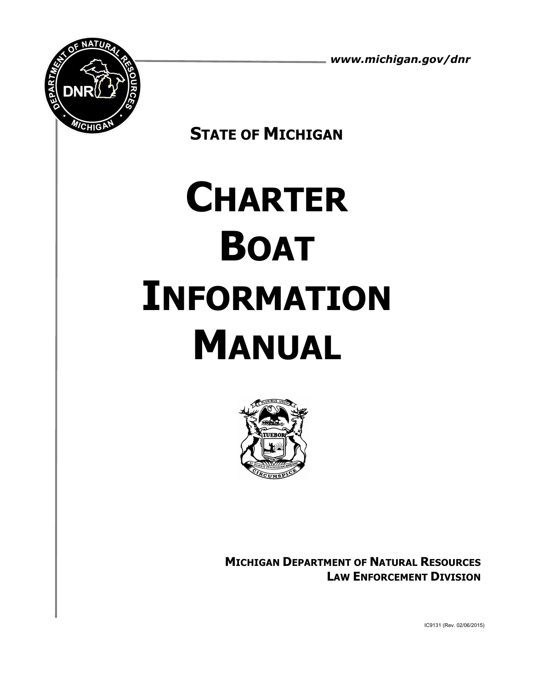*www.michigan.gov/dnr*



**STATE OF MICHIGAN**

# **CHARTER BOAT INFORMATION MANUAL**



**MICHIGAN DEPARTMENT OF NATURAL RESOURCES LAW ENFORCEMENT DIVISION**

IC9131 (Rev. 02/06/2015)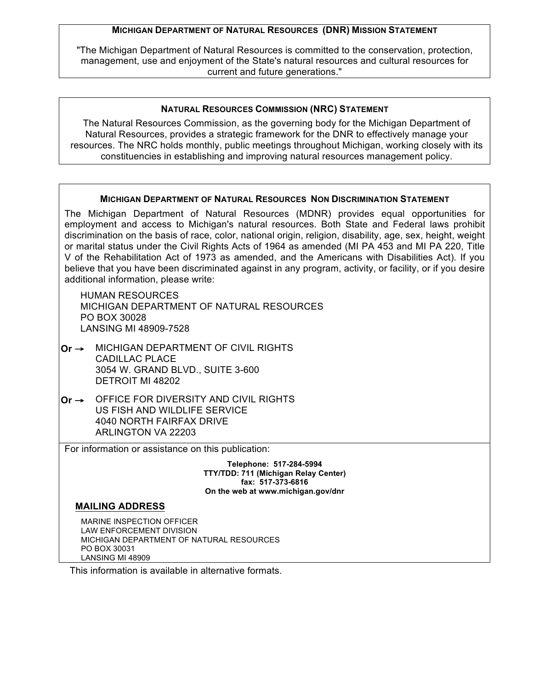#### **MICHIGAN DEPARTMENT OF NATURAL RESOURCES (DNR) MISSION STATEMENT**

"The Michigan Department of Natural Resources is committed to the conservation, protection, management, use and enjoyment of the State's natural resources and cultural resources for current and future generations."

#### **NATURAL RESOURCES COMMISSION (NRC) STATEMENT**

The Natural Resources Commission, as the governing body for the Michigan Department of Natural Resources, provides a strategic framework for the DNR to effectively manage your resources. The NRC holds monthly, public meetings throughout Michigan, working closely with its constituencies in establishing and improving natural resources management policy.

#### **MICHIGAN DEPARTMENT OF NATURAL RESOURCES NON DISCRIMINATION STATEMENT**

The Michigan Department of Natural Resources (MDNR) provides equal opportunities for employment and access to Michigan's natural resources. Both State and Federal laws prohibit discrimination on the basis of race, color, national origin, religion, disability, age, sex, height, weight or marital status under the Civil Rights Acts of 1964 as amended (MI PA 453 and MI PA 220, Title V of the Rehabilitation Act of 1973 as amended, and the Americans with Disabilities Act). If you believe that you have been discriminated against in any program, activity, or facility, or if you desire additional information, please write:

HUMAN RESOURCES MICHIGAN DEPARTMENT OF NATURAL RESOURCES PO BOX 30028 LANSING MI 48909-7528

- **Or** → MICHIGAN DEPARTMENT OF CIVIL RIGHTS CADILLAC PLACE 3054 W. GRAND BLVD., SUITE 3-600 DETROIT MI 48202
- **Or** → OFFICE FOR DIVERSITY AND CIVIL RIGHTS US FISH AND WILDLIFE SERVICE 4040 NORTH FAIRFAX DRIVE ARLINGTON VA 22203

For information or assistance on this publication:

**Telephone: 517-284-5994 TTY/TDD: 711 (Michigan Relay Center) fax: 517-373-6816 On the web at www.michigan.gov/dnr**

#### **MAILING ADDRESS**

MARINE INSPECTION OFFICER LAW ENFORCEMENT DIVISION MICHIGAN DEPARTMENT OF NATURAL RESOURCES PO BOX 30031 LANSING MI 48909

This information is available in alternative formats.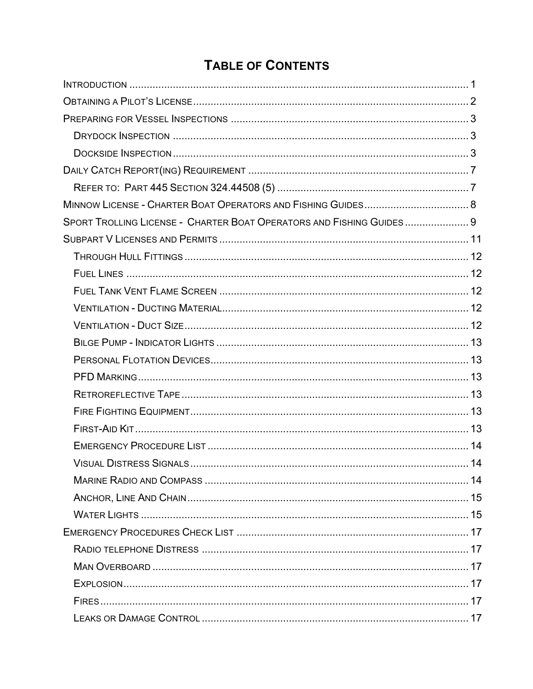# **TABLE OF CONTENTS**

| SPORT TROLLING LICENSE - CHARTER BOAT OPERATORS AND FISHING GUIDES 9 |  |
|----------------------------------------------------------------------|--|
|                                                                      |  |
|                                                                      |  |
|                                                                      |  |
|                                                                      |  |
|                                                                      |  |
|                                                                      |  |
|                                                                      |  |
|                                                                      |  |
|                                                                      |  |
|                                                                      |  |
|                                                                      |  |
|                                                                      |  |
|                                                                      |  |
|                                                                      |  |
|                                                                      |  |
|                                                                      |  |
|                                                                      |  |
|                                                                      |  |
|                                                                      |  |
|                                                                      |  |
|                                                                      |  |
|                                                                      |  |
|                                                                      |  |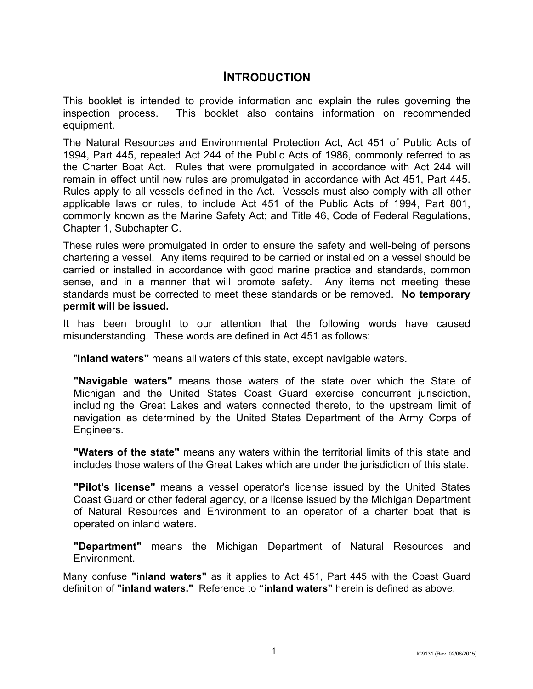# **INTRODUCTION**

This booklet is intended to provide information and explain the rules governing the inspection process. This booklet also contains information on recommended equipment.

The Natural Resources and Environmental Protection Act, Act 451 of Public Acts of 1994, Part 445, repealed Act 244 of the Public Acts of 1986, commonly referred to as the Charter Boat Act. Rules that were promulgated in accordance with Act 244 will remain in effect until new rules are promulgated in accordance with Act 451, Part 445. Rules apply to all vessels defined in the Act. Vessels must also comply with all other applicable laws or rules, to include Act 451 of the Public Acts of 1994, Part 801, commonly known as the Marine Safety Act; and Title 46, Code of Federal Regulations, Chapter 1, Subchapter C.

These rules were promulgated in order to ensure the safety and well-being of persons chartering a vessel. Any items required to be carried or installed on a vessel should be carried or installed in accordance with good marine practice and standards, common sense, and in a manner that will promote safety. Any items not meeting these standards must be corrected to meet these standards or be removed. **No temporary permit will be issued.**

It has been brought to our attention that the following words have caused misunderstanding. These words are defined in Act 451 as follows:

"**Inland waters"** means all waters of this state, except navigable waters.

**"Navigable waters"** means those waters of the state over which the State of Michigan and the United States Coast Guard exercise concurrent jurisdiction, including the Great Lakes and waters connected thereto, to the upstream limit of navigation as determined by the United States Department of the Army Corps of Engineers.

**"Waters of the state"** means any waters within the territorial limits of this state and includes those waters of the Great Lakes which are under the jurisdiction of this state.

**"Pilot's license"** means a vessel operator's license issued by the United States Coast Guard or other federal agency, or a license issued by the Michigan Department of Natural Resources and Environment to an operator of a charter boat that is operated on inland waters.

**"Department"** means the Michigan Department of Natural Resources and Environment.

Many confuse **"inland waters"** as it applies to Act 451, Part 445 with the Coast Guard definition of **"inland waters."** Reference to **"inland waters"** herein is defined as above.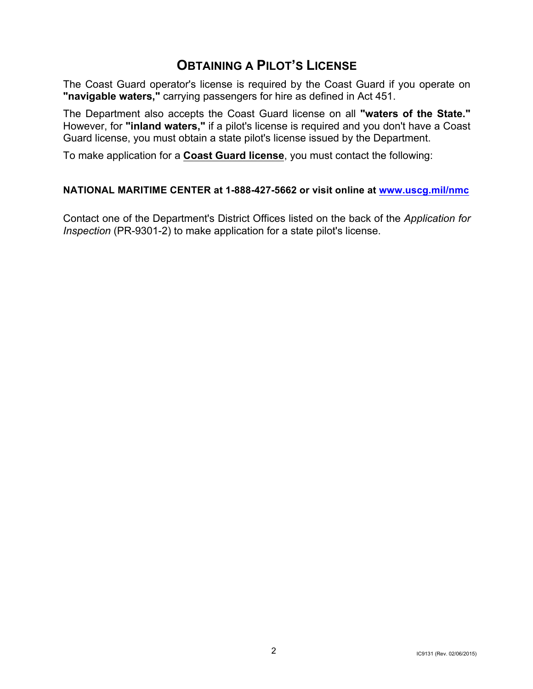# **OBTAINING A PILOT'S LICENSE**

The Coast Guard operator's license is required by the Coast Guard if you operate on **"navigable waters,"** carrying passengers for hire as defined in Act 451.

The Department also accepts the Coast Guard license on all **"waters of the State."** However, for **"inland waters,"** if a pilot's license is required and you don't have a Coast Guard license, you must obtain a state pilot's license issued by the Department.

To make application for a **Coast Guard license**, you must contact the following:

#### **NATIONAL MARITIME CENTER at 1-888-427-5662 or visit online at www.uscg.mil/nmc**

Contact one of the Department's District Offices listed on the back of the *Application for Inspection* (PR-9301-2) to make application for a state pilot's license.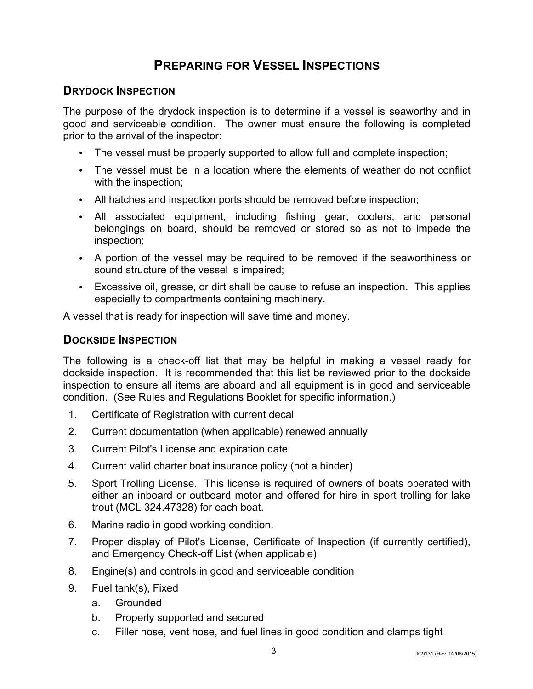# **PREPARING FOR VESSEL INSPECTIONS**

## **DRYDOCK INSPECTION**

The purpose of the drydock inspection is to determine if a vessel is seaworthy and in good and serviceable condition. The owner must ensure the following is completed prior to the arrival of the inspector:

- The vessel must be properly supported to allow full and complete inspection;
- The vessel must be in a location where the elements of weather do not conflict with the inspection;
- All hatches and inspection ports should be removed before inspection;
- All associated equipment, including fishing gear, coolers, and personal belongings on board, should be removed or stored so as not to impede the inspection;
- A portion of the vessel may be required to be removed if the seaworthiness or sound structure of the vessel is impaired;
- Excessive oil, grease, or dirt shall be cause to refuse an inspection. This applies especially to compartments containing machinery.

A vessel that is ready for inspection will save time and money.

## **DOCKSIDE INSPECTION**

The following is a check-off list that may be helpful in making a vessel ready for dockside inspection. It is recommended that this list be reviewed prior to the dockside inspection to ensure all items are aboard and all equipment is in good and serviceable condition. (See Rules and Regulations Booklet for specific information.)

- 1. Certificate of Registration with current decal
- 2. Current documentation (when applicable) renewed annually
- 3. Current Pilot's License and expiration date
- 4. Current valid charter boat insurance policy (not a binder)
- 5. Sport Trolling License. This license is required of owners of boats operated with either an inboard or outboard motor and offered for hire in sport trolling for lake trout (MCL 324.47328) for each boat.
- 6. Marine radio in good working condition.
- 7. Proper display of Pilot's License, Certificate of Inspection (if currently certified), and Emergency Check-off List (when applicable)
- 8. Engine(s) and controls in good and serviceable condition
- 9. Fuel tank(s), Fixed
	- a. Grounded
	- b. Properly supported and secured
	- c. Filler hose, vent hose, and fuel lines in good condition and clamps tight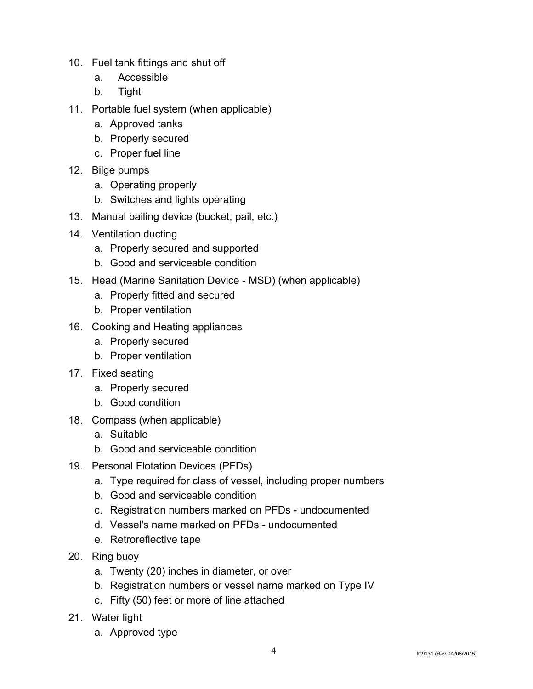- 10. Fuel tank fittings and shut off
	- a. Accessible
	- b. Tight
- 11. Portable fuel system (when applicable)
	- a. Approved tanks
	- b. Properly secured
	- c. Proper fuel line
- 12. Bilge pumps
	- a. Operating properly
	- b. Switches and lights operating
- 13. Manual bailing device (bucket, pail, etc.)
- 14. Ventilation ducting
	- a. Properly secured and supported
	- b. Good and serviceable condition
- 15. Head (Marine Sanitation Device MSD) (when applicable)
	- a. Properly fitted and secured
	- b. Proper ventilation
- 16. Cooking and Heating appliances
	- a. Properly secured
	- b. Proper ventilation
- 17. Fixed seating
	- a. Properly secured
	- b. Good condition
- 18. Compass (when applicable)
	- a. Suitable
	- b. Good and serviceable condition
- 19. Personal Flotation Devices (PFDs)
	- a. Type required for class of vessel, including proper numbers
	- b. Good and serviceable condition
	- c. Registration numbers marked on PFDs undocumented
	- d. Vessel's name marked on PFDs undocumented
	- e. Retroreflective tape
- 20. Ring buoy
	- a. Twenty (20) inches in diameter, or over
	- b. Registration numbers or vessel name marked on Type IV
	- c. Fifty (50) feet or more of line attached
- 21. Water light
	- a. Approved type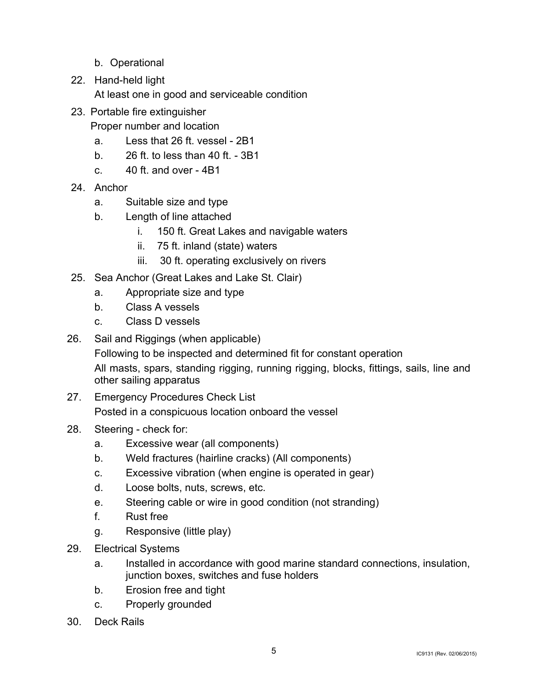- b. Operational
- 22. Hand-held light
	- At least one in good and serviceable condition
- 23. Portable fire extinguisher

Proper number and location

- a. Less that 26 ft. vessel 2B1
- b. 26 ft. to less than 40 ft. 3B1
- $c. 40$  ft. and over  $-4B1$
- 24. Anchor
	- a. Suitable size and type
	- b. Length of line attached
		- i. 150 ft. Great Lakes and navigable waters
		- ii. 75 ft. inland (state) waters
		- iii. 30 ft. operating exclusively on rivers
- 25. Sea Anchor (Great Lakes and Lake St. Clair)
	- a. Appropriate size and type
	- b. Class A vessels
	- c. Class D vessels
- 26. Sail and Riggings (when applicable) Following to be inspected and determined fit for constant operation All masts, spars, standing rigging, running rigging, blocks, fittings, sails, line and other sailing apparatus
- 27. Emergency Procedures Check List Posted in a conspicuous location onboard the vessel
- 28. Steering check for:
	- a. Excessive wear (all components)
	- b. Weld fractures (hairline cracks) (All components)
	- c. Excessive vibration (when engine is operated in gear)
	- d. Loose bolts, nuts, screws, etc.
	- e. Steering cable or wire in good condition (not stranding)
	- f. Rust free
	- g. Responsive (little play)
- 29. Electrical Systems
	- a. Installed in accordance with good marine standard connections, insulation, junction boxes, switches and fuse holders
	- b. Erosion free and tight
	- c. Properly grounded
- 30. Deck Rails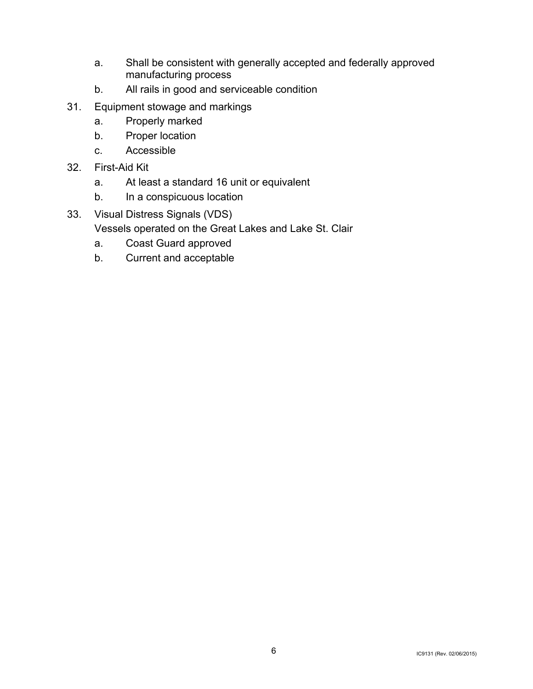- a. Shall be consistent with generally accepted and federally approved manufacturing process
- b. All rails in good and serviceable condition
- 31. Equipment stowage and markings
	- a. Properly marked
	- b. Proper location
	- c. Accessible
- 32. First-Aid Kit
	- a. At least a standard 16 unit or equivalent
	- b. In a conspicuous location
- 33. Visual Distress Signals (VDS)

Vessels operated on the Great Lakes and Lake St. Clair

- a. Coast Guard approved
- b. Current and acceptable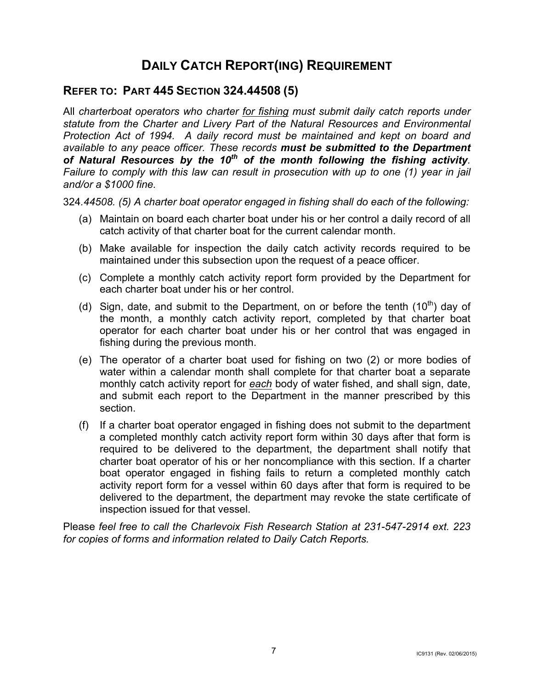# **DAILY CATCH REPORT(ING) REQUIREMENT**

# **REFER TO: PART 445 SECTION 324.44508 (5)**

All *charterboat operators who charter for fishing must submit daily catch reports under statute from the Charter and Livery Part of the Natural Resources and Environmental Protection Act of 1994. A daily record must be maintained and kept on board and available to any peace officer. These records must be submitted to the Department of Natural Resources by the 10th of the month following the fishing activity. Failure to comply with this law can result in prosecution with up to one (1) year in jail and/or a \$1000 fine.* 

324*.44508. (5) A charter boat operator engaged in fishing shall do each of the following:*

- (a) Maintain on board each charter boat under his or her control a daily record of all catch activity of that charter boat for the current calendar month.
- (b) Make available for inspection the daily catch activity records required to be maintained under this subsection upon the request of a peace officer.
- (c) Complete a monthly catch activity report form provided by the Department for each charter boat under his or her control.
- (d) Sign, date, and submit to the Department, on or before the tenth  $(10<sup>th</sup>)$  day of the month, a monthly catch activity report, completed by that charter boat operator for each charter boat under his or her control that was engaged in fishing during the previous month.
- (e) The operator of a charter boat used for fishing on two (2) or more bodies of water within a calendar month shall complete for that charter boat a separate monthly catch activity report for *each* body of water fished, and shall sign, date, and submit each report to the Department in the manner prescribed by this section.
- (f) If a charter boat operator engaged in fishing does not submit to the department a completed monthly catch activity report form within 30 days after that form is required to be delivered to the department, the department shall notify that charter boat operator of his or her noncompliance with this section. If a charter boat operator engaged in fishing fails to return a completed monthly catch activity report form for a vessel within 60 days after that form is required to be delivered to the department, the department may revoke the state certificate of inspection issued for that vessel.

Please *feel free to call the Charlevoix Fish Research Station at 231-547-2914 ext. 223 for copies of forms and information related to Daily Catch Reports.*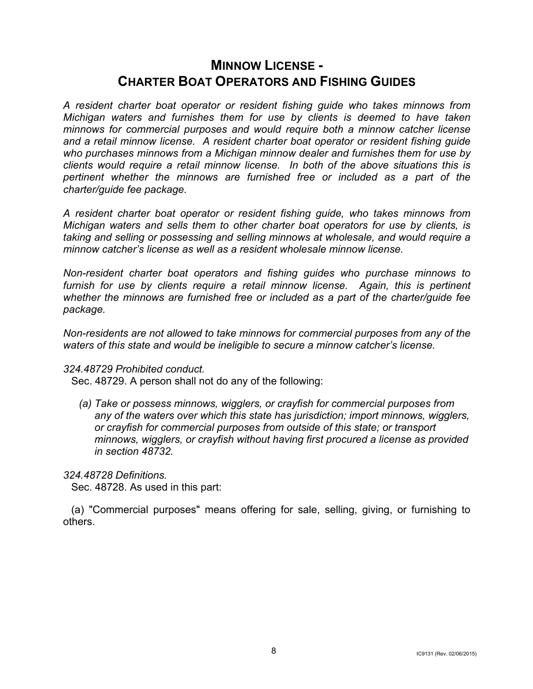# **MINNOW LICENSE - CHARTER BOAT OPERATORS AND FISHING GUIDES**

*A resident charter boat operator or resident fishing guide who takes minnows from Michigan waters and furnishes them for use by clients is deemed to have taken minnows for commercial purposes and would require both a minnow catcher license and a retail minnow license. A resident charter boat operator or resident fishing guide who purchases minnows from a Michigan minnow dealer and furnishes them for use by clients would require a retail minnow license. In both of the above situations this is pertinent whether the minnows are furnished free or included as a part of the charter/guide fee package.* 

*A resident charter boat operator or resident fishing guide, who takes minnows from Michigan waters and sells them to other charter boat operators for use by clients, is taking and selling or possessing and selling minnows at wholesale, and would require a minnow catcher's license as well as a resident wholesale minnow license.*

*Non-resident charter boat operators and fishing guides who purchase minnows to*  furnish for use by clients require a retail minnow license. Again, this is pertinent *whether the minnows are furnished free or included as a part of the charter/guide fee package.* 

*Non-residents are not allowed to take minnows for commercial purposes from any of the waters of this state and would be ineligible to secure a minnow catcher's license.* 

#### *324.48729 Prohibited conduct.*

Sec. 48729. A person shall not do any of the following:

*(a) Take or possess minnows, wigglers, or crayfish for commercial purposes from any of the waters over which this state has jurisdiction; import minnows, wigglers, or crayfish for commercial purposes from outside of this state; or transport minnows, wigglers, or crayfish without having first procured a license as provided in section 48732.*

#### *324.48728 Definitions.*

Sec. 48728. As used in this part:

(a) "Commercial purposes" means offering for sale, selling, giving, or furnishing to others.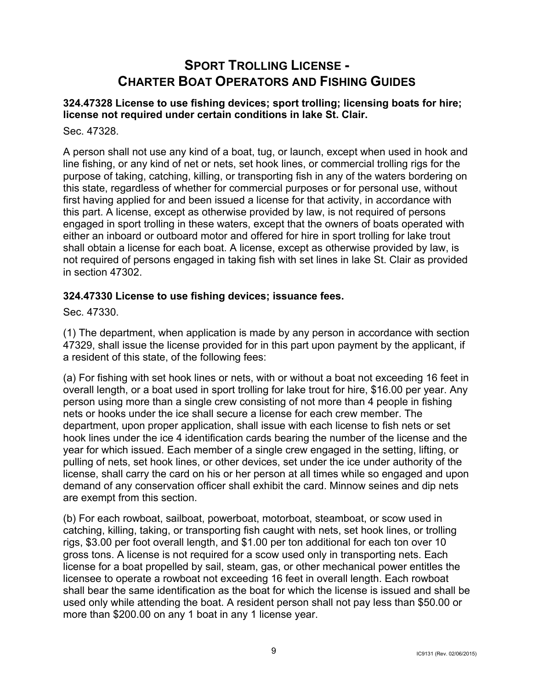# **SPORT TROLLING LICENSE - CHARTER BOAT OPERATORS AND FISHING GUIDES**

#### **324.47328 License to use fishing devices; sport trolling; licensing boats for hire; license not required under certain conditions in lake St. Clair.**

Sec. 47328.

A person shall not use any kind of a boat, tug, or launch, except when used in hook and line fishing, or any kind of net or nets, set hook lines, or commercial trolling rigs for the purpose of taking, catching, killing, or transporting fish in any of the waters bordering on this state, regardless of whether for commercial purposes or for personal use, without first having applied for and been issued a license for that activity, in accordance with this part. A license, except as otherwise provided by law, is not required of persons engaged in sport trolling in these waters, except that the owners of boats operated with either an inboard or outboard motor and offered for hire in sport trolling for lake trout shall obtain a license for each boat. A license, except as otherwise provided by law, is not required of persons engaged in taking fish with set lines in lake St. Clair as provided in section 47302.

#### **324.47330 License to use fishing devices; issuance fees.**

Sec. 47330.

(1) The department, when application is made by any person in accordance with section 47329, shall issue the license provided for in this part upon payment by the applicant, if a resident of this state, of the following fees:

(a) For fishing with set hook lines or nets, with or without a boat not exceeding 16 feet in overall length, or a boat used in sport trolling for lake trout for hire, \$16.00 per year. Any person using more than a single crew consisting of not more than 4 people in fishing nets or hooks under the ice shall secure a license for each crew member. The department, upon proper application, shall issue with each license to fish nets or set hook lines under the ice 4 identification cards bearing the number of the license and the year for which issued. Each member of a single crew engaged in the setting, lifting, or pulling of nets, set hook lines, or other devices, set under the ice under authority of the license, shall carry the card on his or her person at all times while so engaged and upon demand of any conservation officer shall exhibit the card. Minnow seines and dip nets are exempt from this section.

(b) For each rowboat, sailboat, powerboat, motorboat, steamboat, or scow used in catching, killing, taking, or transporting fish caught with nets, set hook lines, or trolling rigs, \$3.00 per foot overall length, and \$1.00 per ton additional for each ton over 10 gross tons. A license is not required for a scow used only in transporting nets. Each license for a boat propelled by sail, steam, gas, or other mechanical power entitles the licensee to operate a rowboat not exceeding 16 feet in overall length. Each rowboat shall bear the same identification as the boat for which the license is issued and shall be used only while attending the boat. A resident person shall not pay less than \$50.00 or more than \$200.00 on any 1 boat in any 1 license year.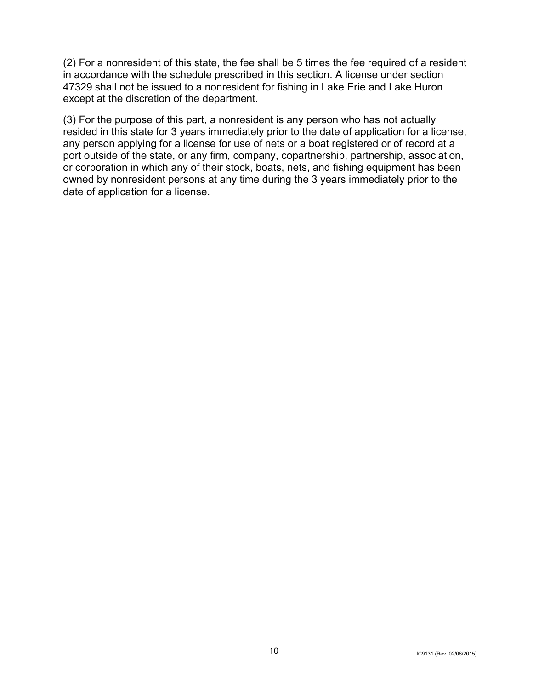(2) For a nonresident of this state, the fee shall be 5 times the fee required of a resident in accordance with the schedule prescribed in this section. A license under section 47329 shall not be issued to a nonresident for fishing in Lake Erie and Lake Huron except at the discretion of the department.

(3) For the purpose of this part, a nonresident is any person who has not actually resided in this state for 3 years immediately prior to the date of application for a license, any person applying for a license for use of nets or a boat registered or of record at a port outside of the state, or any firm, company, copartnership, partnership, association, or corporation in which any of their stock, boats, nets, and fishing equipment has been owned by nonresident persons at any time during the 3 years immediately prior to the date of application for a license.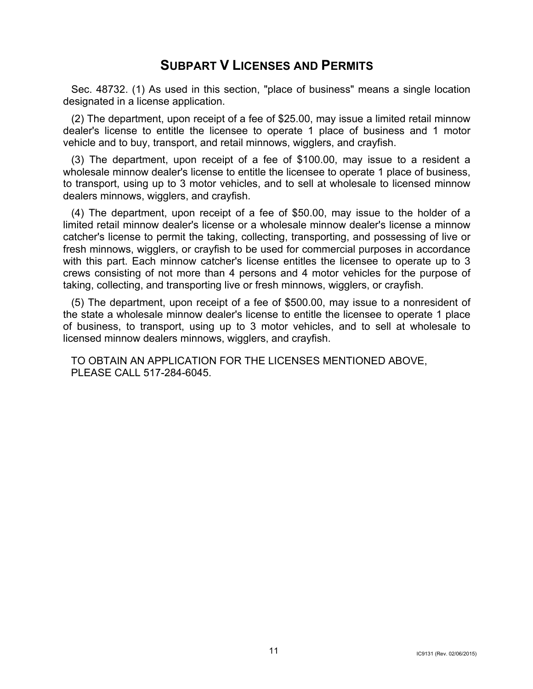# **SUBPART V LICENSES AND PERMITS**

Sec. 48732. (1) As used in this section, "place of business" means a single location designated in a license application.

(2) The department, upon receipt of a fee of \$25.00, may issue a limited retail minnow dealer's license to entitle the licensee to operate 1 place of business and 1 motor vehicle and to buy, transport, and retail minnows, wigglers, and crayfish.

(3) The department, upon receipt of a fee of \$100.00, may issue to a resident a wholesale minnow dealer's license to entitle the licensee to operate 1 place of business, to transport, using up to 3 motor vehicles, and to sell at wholesale to licensed minnow dealers minnows, wigglers, and crayfish.

(4) The department, upon receipt of a fee of \$50.00, may issue to the holder of a limited retail minnow dealer's license or a wholesale minnow dealer's license a minnow catcher's license to permit the taking, collecting, transporting, and possessing of live or fresh minnows, wigglers, or crayfish to be used for commercial purposes in accordance with this part. Each minnow catcher's license entitles the licensee to operate up to 3 crews consisting of not more than 4 persons and 4 motor vehicles for the purpose of taking, collecting, and transporting live or fresh minnows, wigglers, or crayfish.

(5) The department, upon receipt of a fee of \$500.00, may issue to a nonresident of the state a wholesale minnow dealer's license to entitle the licensee to operate 1 place of business, to transport, using up to 3 motor vehicles, and to sell at wholesale to licensed minnow dealers minnows, wigglers, and crayfish.

TO OBTAIN AN APPLICATION FOR THE LICENSES MENTIONED ABOVE, PLEASE CALL 517-284-6045.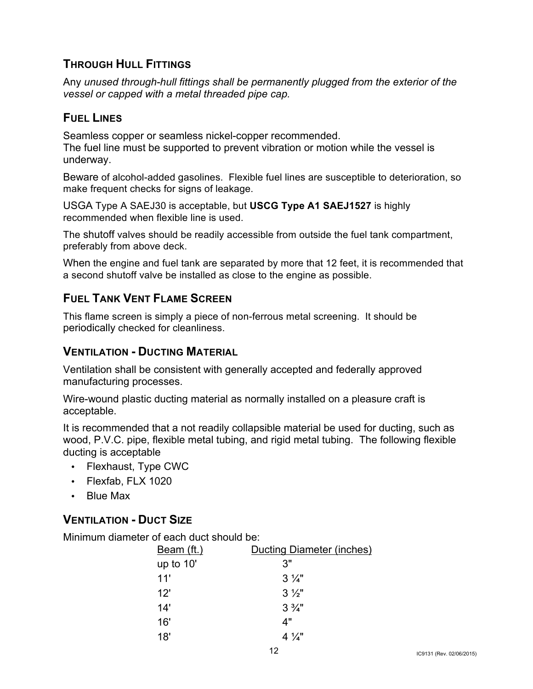# **THROUGH HULL FITTINGS**

Any *unused through-hull fittings shall be permanently plugged from the exterior of the vessel or capped with a metal threaded pipe cap.*

## **FUEL LINES**

Seamless copper or seamless nickel-copper recommended. The fuel line must be supported to prevent vibration or motion while the vessel is underway.

Beware of alcohol-added gasolines. Flexible fuel lines are susceptible to deterioration, so make frequent checks for signs of leakage.

USGA Type A SAEJ30 is acceptable, but **USCG Type A1 SAEJ1527** is highly recommended when flexible line is used.

The shutoff valves should be readily accessible from outside the fuel tank compartment, preferably from above deck.

When the engine and fuel tank are separated by more that 12 feet, it is recommended that a second shutoff valve be installed as close to the engine as possible.

# **FUEL TANK VENT FLAME SCREEN**

This flame screen is simply a piece of non-ferrous metal screening. It should be periodically checked for cleanliness.

# **VENTILATION - DUCTING MATERIAL**

Ventilation shall be consistent with generally accepted and federally approved manufacturing processes.

Wire-wound plastic ducting material as normally installed on a pleasure craft is acceptable.

It is recommended that a not readily collapsible material be used for ducting, such as wood, P.V.C. pipe, flexible metal tubing, and rigid metal tubing. The following flexible ducting is acceptable

- Flexhaust, Type CWC
- Flexfab, FLX 1020
- Blue Max

# **VENTILATION - DUCT SIZE**

Minimum diameter of each duct should be:

| Beam (ft.)  | Ducting Diameter (inches) |
|-------------|---------------------------|
| up to $10'$ | 3"                        |
| 11'         | $3\frac{1}{4}$            |
| 12'         | $3\frac{1}{2}$            |
| 14'         | $3\frac{3}{4}$ "          |
| 16'         | 4"                        |
| 18'         | $4\frac{1}{4}$            |
|             |                           |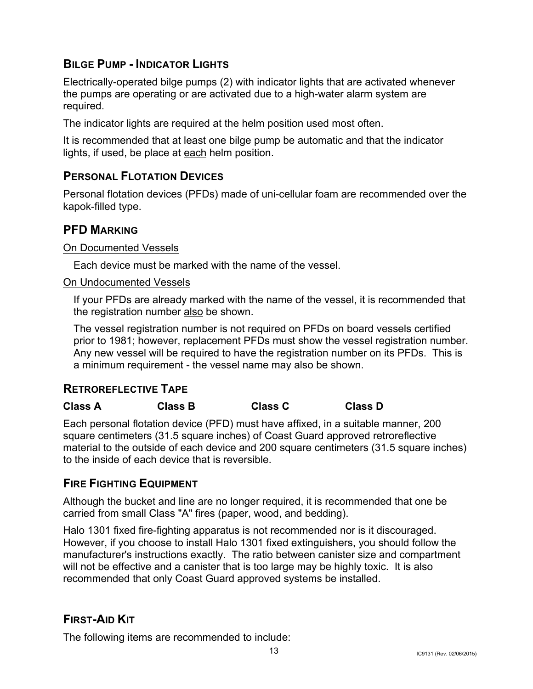# **BILGE PUMP - INDICATOR LIGHTS**

Electrically-operated bilge pumps (2) with indicator lights that are activated whenever the pumps are operating or are activated due to a high-water alarm system are required.

The indicator lights are required at the helm position used most often.

It is recommended that at least one bilge pump be automatic and that the indicator lights, if used, be place at each helm position.

# **PERSONAL FLOTATION DEVICES**

Personal flotation devices (PFDs) made of uni-cellular foam are recommended over the kapok-filled type.

## **PFD MARKING**

#### On Documented Vessels

Each device must be marked with the name of the vessel.

#### On Undocumented Vessels

If your PFDs are already marked with the name of the vessel, it is recommended that the registration number also be shown.

The vessel registration number is not required on PFDs on board vessels certified prior to 1981; however, replacement PFDs must show the vessel registration number. Any new vessel will be required to have the registration number on its PFDs. This is a minimum requirement - the vessel name may also be shown.

#### **RETROREFLECTIVE TAPE**

#### **Class A Class B Class C Class D**

Each personal flotation device (PFD) must have affixed, in a suitable manner, 200 square centimeters (31.5 square inches) of Coast Guard approved retroreflective material to the outside of each device and 200 square centimeters (31.5 square inches) to the inside of each device that is reversible.

#### **FIRE FIGHTING EQUIPMENT**

Although the bucket and line are no longer required, it is recommended that one be carried from small Class "A" fires (paper, wood, and bedding).

Halo 1301 fixed fire-fighting apparatus is not recommended nor is it discouraged. However, if you choose to install Halo 1301 fixed extinguishers, you should follow the manufacturer's instructions exactly. The ratio between canister size and compartment will not be effective and a canister that is too large may be highly toxic. It is also recommended that only Coast Guard approved systems be installed.

# **FIRST-AID KIT**

The following items are recommended to include: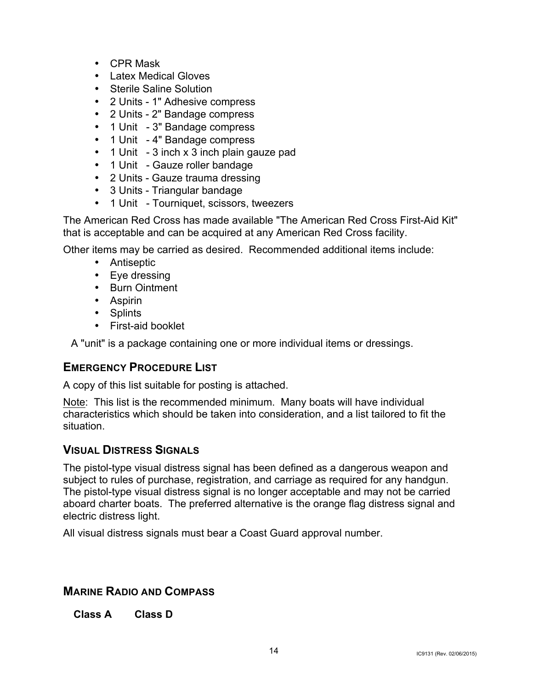- CPR Mask
- Latex Medical Gloves
- Sterile Saline Solution
- 2 Units 1" Adhesive compress
- 2 Units 2" Bandage compress
- 1 Unit 3" Bandage compress
- 1 Unit 4" Bandage compress
- 1 Unit 3 inch x 3 inch plain gauze pad
- 1 Unit Gauze roller bandage
- 2 Units Gauze trauma dressing
- 3 Units Triangular bandage
- 1 Unit Tourniquet, scissors, tweezers

The American Red Cross has made available "The American Red Cross First-Aid Kit" that is acceptable and can be acquired at any American Red Cross facility.

Other items may be carried as desired. Recommended additional items include:

- Antiseptic
- Eye dressing
- Burn Ointment
- Aspirin
- Splints
- First-aid booklet

A "unit" is a package containing one or more individual items or dressings.

# **EMERGENCY PROCEDURE LIST**

A copy of this list suitable for posting is attached.

Note: This list is the recommended minimum. Many boats will have individual characteristics which should be taken into consideration, and a list tailored to fit the situation.

# **VISUAL DISTRESS SIGNALS**

The pistol-type visual distress signal has been defined as a dangerous weapon and subject to rules of purchase, registration, and carriage as required for any handgun. The pistol-type visual distress signal is no longer acceptable and may not be carried aboard charter boats. The preferred alternative is the orange flag distress signal and electric distress light.

All visual distress signals must bear a Coast Guard approval number.

# **MARINE RADIO AND COMPASS**

**Class A Class D**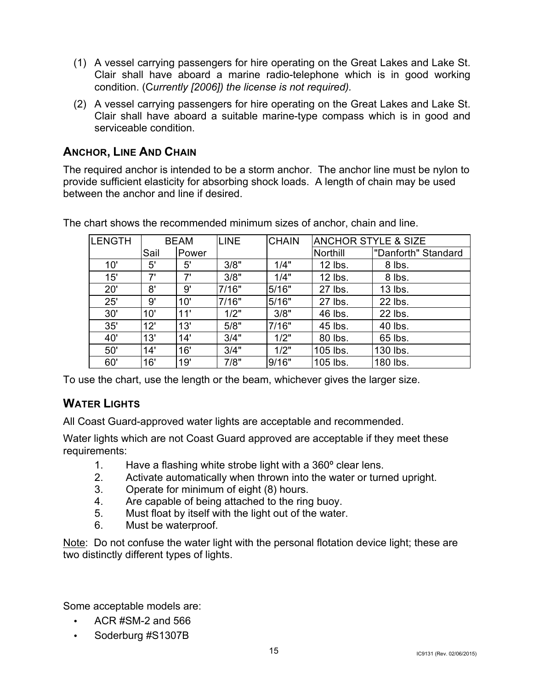- (1) A vessel carrying passengers for hire operating on the Great Lakes and Lake St. Clair shall have aboard a marine radio-telephone which is in good working condition. (C*urrently [2006]) the license is not required).*
- (2) A vessel carrying passengers for hire operating on the Great Lakes and Lake St. Clair shall have aboard a suitable marine-type compass which is in good and serviceable condition.

# **ANCHOR, LINE AND CHAIN**

The required anchor is intended to be a storm anchor. The anchor line must be nylon to provide sufficient elasticity for absorbing shock loads. A length of chain may be used between the anchor and line if desired.

| ILENGTH | <b>BEAM</b> |       | <b>LINE</b> | <b>CHAIN</b> | <b>ANCHOR STYLE &amp; SIZE</b> |                     |
|---------|-------------|-------|-------------|--------------|--------------------------------|---------------------|
|         | Sail        | Power |             |              | Northill                       | "Danforth" Standard |
| 10'     | 5'          | 5'    | 3/8"        | 1/4"         | 12 lbs.                        | 8 lbs.              |
| 15'     | 7'          | 7'    | 3/8"        | 1/4"         | 12 lbs.                        | 8 lbs.              |
| 20'     | 8'          | 9'    | 7/16"       | 5/16"        | 27 lbs.                        | 13 lbs.             |
| 25'     | 9'          | 10'   | 7/16"       | 5/16"        | 27 lbs.                        | 22 lbs.             |
| 30'     | 10'         | 11'   | 1/2"        | 3/8"         | 46 lbs.                        | 22 lbs.             |
| 35'     | 12'         | 13'   | 5/8"        | 7/16"        | 45 lbs.                        | 40 lbs.             |
| 40'     | 13'         | 14'   | 3/4"        | 1/2"         | 80 lbs.                        | 65 lbs.             |
| 50'     | 14'         | 16'   | 3/4"        | 1/2"         | 105 lbs.                       | 130 lbs.            |
| 60'     | 16'         | 19'   | 7/8"        | 9/16"        | 105 lbs.                       | 180 lbs.            |

The chart shows the recommended minimum sizes of anchor, chain and line.

To use the chart, use the length or the beam, whichever gives the larger size.

# **WATER LIGHTS**

All Coast Guard-approved water lights are acceptable and recommended.

Water lights which are not Coast Guard approved are acceptable if they meet these requirements:

- 1. Have a flashing white strobe light with a 360º clear lens.
- 2. Activate automatically when thrown into the water or turned upright.
- 3. Operate for minimum of eight (8) hours.
- 4. Are capable of being attached to the ring buoy.
- 5. Must float by itself with the light out of the water.
- 6. Must be waterproof.

Note: Do not confuse the water light with the personal flotation device light; these are two distinctly different types of lights.

Some acceptable models are:

- ACR  $#SM-2$  and 566
- Soderburg #S1307B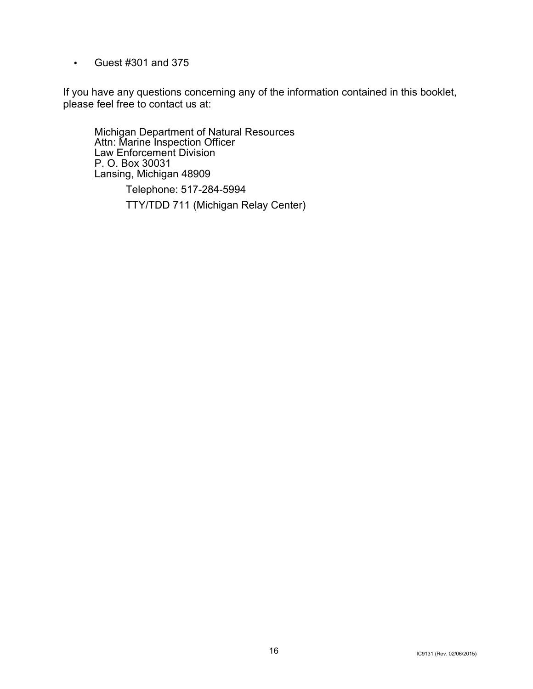• Guest #301 and 375

If you have any questions concerning any of the information contained in this booklet, please feel free to contact us at:

Michigan Department of Natural Resources Attn: Marine Inspection Officer Law Enforcement Division P. O. Box 30031 Lansing, Michigan 48909

> Telephone: 517-284-5994 TTY/TDD 711 (Michigan Relay Center)